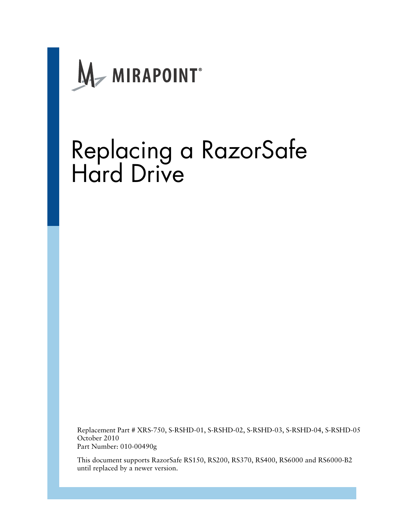

# Replacing a RazorSafe Hard Drive

Replacement Part # XRS-750, S-RSHD-01, S-RSHD-02, S-RSHD-03, S-RSHD-04, S-RSHD-05 October 2010 Part Number: 010-00490g

This document supports RazorSafe RS150, RS200, RS370, RS400, RS6000 and RS6000-B2 until replaced by a newer version.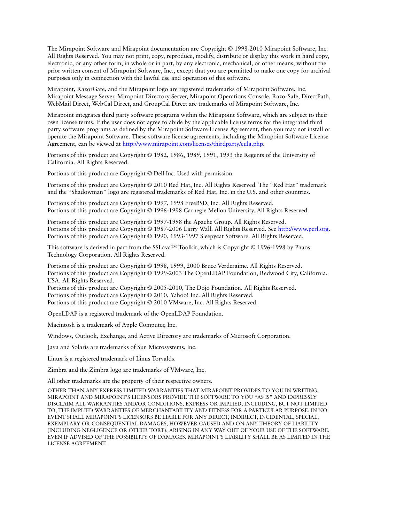The Mirapoint Software and Mirapoint documentation are Copyright © 1998-2010 Mirapoint Software, Inc. All Rights Reserved. You may not print, copy, reproduce, modify, distribute or display this work in hard copy, electronic, or any other form, in whole or in part, by any electronic, mechanical, or other means, without the prior written consent of Mirapoint Software, Inc., except that you are permitted to make one copy for archival purposes only in connection with the lawful use and operation of this software.

Mirapoint, RazorGate, and the Mirapoint logo are registered trademarks of Mirapoint Software, Inc. Mirapoint Message Server, Mirapoint Directory Server, Mirapoint Operations Console, RazorSafe, DirectPath, WebMail Direct, WebCal Direct, and GroupCal Direct are trademarks of Mirapoint Software, Inc.

Mirapoint integrates third party software programs within the Mirapoint Software, which are subject to their own license terms. If the user does not agree to abide by the applicable license terms for the integrated third [party software programs as defined by the Mirapoint Software License Agreement, then you may not install or](http://www.mirapoint.com/licenses/thirdparty/eula.php)  operate the Mirapoint Software. These software license agreements, including the Mirapoint Software License [Agreement, can be viewed at h](http://www.mirapoint.com/licenses/thirdparty/eula.php)ttp://www.mirapoint.com/licenses/thirdparty/eula.php.

Portions of this product are Copyright © 1982, 1986, 1989, 1991, 1993 the Regents of the University of California. All Rights Reserved.

Portions of this product are Copyright © Dell Inc. Used with permission.

Portions of this product are Copyright © 2010 Red Hat, Inc. All Rights Reserved. The "Red Hat" trademark and the "Shadowman" logo are registered trademarks of Red Hat, Inc. in the U.S. and other countries.

Portions of this product are Copyright © 1997, 1998 FreeBSD, Inc. All Rights Reserved. Portions of this product are Copyright © 1996-1998 Carnegie Mellon University. All Rights Reserved.

Portions of this product are Copyright © 1997-1998 the Apache Group. All Rights Reserved. Portions of this product are Copyright © 1987-2006 Larry Wall. All Rights Reserved. See <http://www.perl.org>. Portions of this product are Copyright © 1990, 1993-1997 Sleepycat Software. All Rights Reserved.

This software is derived in part from the SSLava™ Toolkit, which is Copyright © 1996-1998 by Phaos Technology Corporation. All Rights Reserved.

Portions of this product are Copyright © 1998, 1999, 2000 Bruce Verderaime. All Rights Reserved. Portions of this product are Copyright © 1999-2003 The OpenLDAP Foundation, Redwood City, California, USA. All Rights Reserved.

Portions of this product are Copyright © 2005-2010, The Dojo Foundation. All Rights Reserved. Portions of this product are Copyright © 2010, Yahoo! Inc. All Rights Reserved. Portions of this product are Copyright © 2010 VMware, Inc. All Rights Reserved.

OpenLDAP is a registered trademark of the OpenLDAP Foundation.

Macintosh is a trademark of Apple Computer, Inc.

Windows, Outlook, Exchange, and Active Directory are trademarks of Microsoft Corporation.

Java and Solaris are trademarks of Sun Microsystems, Inc.

Linux is a registered trademark of Linus Torvalds.

Zimbra and the Zimbra logo are trademarks of VMware, Inc.

All other trademarks are the property of their respective owners.

OTHER THAN ANY EXPRESS LIMITED WARRANTIES THAT MIRAPOINT PROVIDES TO YOU IN WRITING, MIRAPOINT AND MIRAPOINT'S LICENSORS PROVIDE THE SOFTWARE TO YOU "AS IS" AND EXPRESSLY DISCLAIM ALL WARRANTIES AND/OR CONDITIONS, EXPRESS OR IMPLIED, INCLUDING, BUT NOT LIMITED TO, THE IMPLIED WARRANTIES OF MERCHANTABILITY AND FITNESS FOR A PARTICULAR PURPOSE. IN NO EVENT SHALL MIRAPOINT'S LICENSORS BE LIABLE FOR ANY DIRECT, INDIRECT, INCIDENTAL, SPECIAL, EXEMPLARY OR CONSEQUENTIAL DAMAGES, HOWEVER CAUSED AND ON ANY THEORY OF LIABILITY (INCLUDING NEGLIGENCE OR OTHER TORT), ARISING IN ANY WAY OUT OF YOUR USE OF THE SOFTWARE, EVEN IF ADVISED OF THE POSSIBILITY OF DAMAGES. MIRAPOINT'S LIABILITY SHALL BE AS LIMITED IN THE LICENSE AGREEMENT.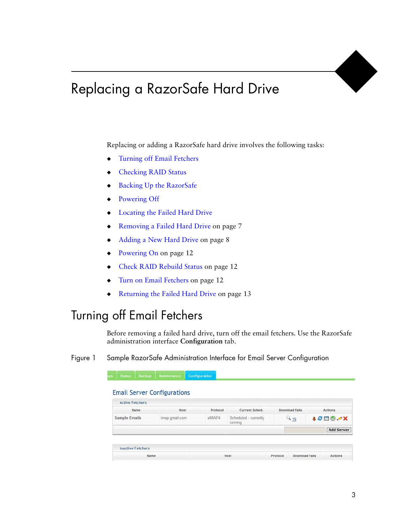## Replacing a RazorSafe Hard Drive

Replacing or adding a RazorSafe hard drive involves the following tasks:

- ◆ [Turning off Email Fetchers](#page-2-0)
- **[Checking RAID Status](#page-3-0)**
- [Backing Up the RazorSafe](#page-4-1)
- ◆ [Powering Off](#page-6-0)
- ◆ [Locating the Failed Hard Drive](#page-4-0)
- ◆ [Removing a Failed Hard Drive on page](#page-6-1) 7
- ◆ [Adding a New Hard Drive on page](#page-7-0) 8
- ◆ [Powering On on page](#page-11-0) 12
- [Check RAID Rebuild Status on page](#page-11-1) 12
- [Turn on Email Fetchers on page](#page-11-2) 12
- ◆ [Returning the Failed Hard Drive on page](#page-12-0) 13

## <span id="page-2-0"></span>Turning off Email Fetchers

Before removing a failed hard drive, turn off the email fetchers. Use the RazorSafe administration interface **Configuration** tab.

<span id="page-2-1"></span>Figure 1 Sample RazorSafe Administration Interface for Email Server Configuration

| <b>Active Fetchers</b> |                |          |                                  |                       |               |
|------------------------|----------------|----------|----------------------------------|-----------------------|---------------|
| Name                   | Host           | Protocol | Current Sched.                   | <b>Download Fails</b> | Actions       |
| <b>Sample Emails</b>   | imap.gmail.com | sIMAP4   | Scheduled - currently<br>running | $Q_{19}$              | <b>ACEOSX</b> |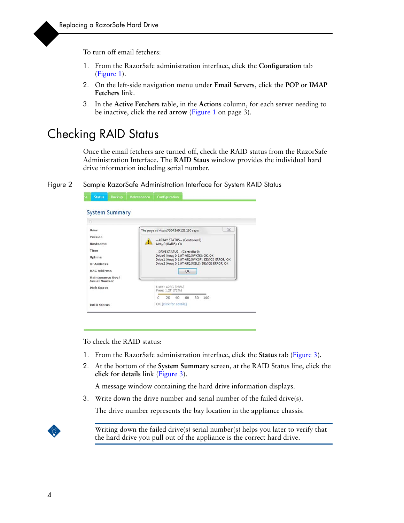To turn off email fetchers:

- 1. From the RazorSafe administration interface, click the **Configuration** tab [\(Figure](#page-2-1) 1).
- 2. On the left-side navigation menu under **Email Servers**, click the **POP or IMAP Fetchers** link.
- 3. In the **Active Fetchers** table, in the **Actions** column, for each server needing to be inactive, click the **red arrow** (Figure [1 on page](#page-2-1) 3).

## <span id="page-3-0"></span>Checking RAID Status

Once the email fetchers are turned off, check the RAID status from the RazorSafe Administration Interface. The **RAID Staus** window provides the individual hard drive information including serial number.

Figure 2 Sample RazorSafe Administration Interface for System RAID Status

| liser                                                                                                                 | 23<br>The page at https://204.169.123.130 says:                                                                                                                                                                                                              |  |  |  |  |  |
|-----------------------------------------------------------------------------------------------------------------------|--------------------------------------------------------------------------------------------------------------------------------------------------------------------------------------------------------------------------------------------------------------|--|--|--|--|--|
| Version<br>Hostname<br>Time<br>Uptime<br><b>IP Address</b><br><b>MAC Address</b><br>Maintenance Key/<br>Serial Number | -- ARRAY STATUS -- (Controller 0)<br>Array 0 (RAID5): OK<br>-- DRIVE STATUS-- (Controller 0)<br>Drive 0 (Array 0, 1.0T #9QJ3WK7K): OK, OK<br>Drive 1 (Array 0, 1.0T #9QJ3WKGP): DEVICE_ERROR_OK<br>Drive 2 (Array 0, 1.0T #9QJ3X2L6): DEVICE_ERROR, OK<br>OK |  |  |  |  |  |
| Disk Space                                                                                                            | Used: 428G (28%)                                                                                                                                                                                                                                             |  |  |  |  |  |
|                                                                                                                       | Free: 1.2T (72%)                                                                                                                                                                                                                                             |  |  |  |  |  |
|                                                                                                                       | 20<br>40<br>60<br>80<br>$\Omega$<br>100                                                                                                                                                                                                                      |  |  |  |  |  |

To check the RAID status:

- 1. From the RazorSafe administration interface, click the **Status** tab ([Figure](#page-4-2) 3).
- 2. At the bottom of the **System Summary** screen, at the RAID Status line, click the **click for details** link [\(Figure](#page-4-2) 3).

A message window containing the hard drive information displays.

3. Write down the drive number and serial number of the failed drive(s).

The drive number represents the bay location in the appliance chassis.



Writing down the failed drive(s) serial number(s) helps you later to verify that the hard drive you pull out of the appliance is the correct hard drive.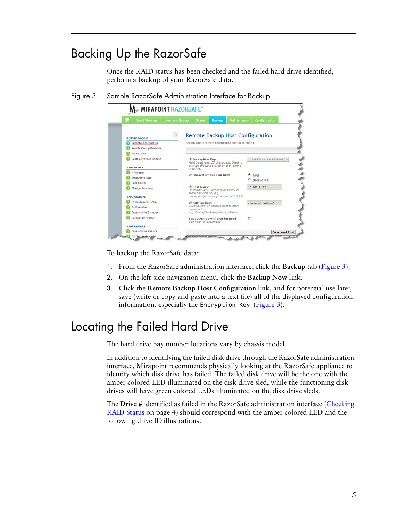## <span id="page-4-1"></span>Backing Up the RazorSafe

Once the RAID status has been checked and the failed hard drive identified, perform a backup of your RazorSafe data.

<span id="page-4-2"></span>Figure 3 Sample RazorSafe Administration Interface for Backup

| n<br><b>Email Viewing</b>    | <b>Users and Groups</b> | <b>Status</b>                                                                                                               | <b>Backup</b>                         | Maintenance                                        | <b>Configuration</b>     |
|------------------------------|-------------------------|-----------------------------------------------------------------------------------------------------------------------------|---------------------------------------|----------------------------------------------------|--------------------------|
| <b>REMOTE BACKUP</b>         |                         |                                                                                                                             |                                       | Remote Backup Host Configuration                   |                          |
| <b>Remote Host Config</b>    |                         |                                                                                                                             |                                       | Specify where remote backup data should be stored. |                          |
| Remote Backup Schedule       |                         |                                                                                                                             |                                       |                                                    |                          |
| Backup Now                   |                         |                                                                                                                             |                                       |                                                    |                          |
| Restore Previous Backup      |                         | * Encryption Key                                                                                                            |                                       |                                                    | 123456789012345678901234 |
| <b>TAPE DEVICE</b>           |                         | Must be at least 25 characters. Used to<br>encrypt the data stored on the remote<br>machine.                                |                                       |                                                    |                          |
| Information                  |                         | * Filesystem type on host                                                                                                   |                                       |                                                    | <b>NFS</b>               |
| Erase/Move Tape              |                         |                                                                                                                             |                                       |                                                    | €<br>C SMB/CIFS          |
| <b>Tape History</b>          |                         |                                                                                                                             |                                       |                                                    |                          |
| Changer Inventory            |                         | <b>Ve Host Name</b><br>Hostname or IP Address of server to<br>store backups on, e.g.<br>backups.mycompany.com or 10.0.0.222 |                                       |                                                    | 10.100.2.103             |
| <b>TAPE ARCHIVE</b>          |                         |                                                                                                                             |                                       |                                                    |                          |
| EncrypTape(R) Setup          |                         | * Path on host                                                                                                              |                                       |                                                    | /var/nfs/rembkup/        |
| <b>Archive Now</b>           |                         | Subdirectory on remote host to store<br>backups in,                                                                         |                                       |                                                    |                          |
| <b>Tape Archive Schedule</b> |                         | e.g. /home/backups/emailappliance                                                                                           |                                       |                                                    |                          |
| Full System Archive          |                         | See Help for explanation                                                                                                    | <b>Tape Archive will also be used</b> | п                                                  |                          |
| <b>TAPE RESTORE</b>          |                         |                                                                                                                             |                                       |                                                    |                          |

To backup the RazorSafe data:

- 1. From the RazorSafe administration interface, click the **Backup** tab ([Figure](#page-4-2) 3).
- 2. On the left-side navigation menu, click the **Backup Now** link.
- 3. Click the **Remote Backup Host Configuration** link, and for potential use later, save (write or copy and paste into a text file) all of the displayed configuration information, especially the Encryption Key ([Figure](#page-4-2) 3).

## <span id="page-4-0"></span>Locating the Failed Hard Drive

The hard drive bay number locations vary by chassis model.

In addition to identifying the failed disk drive through the RazorSafe administration interface, Mirapoint recommends physically looking at the RazorSafe appliance to identify which disk drive has failed. The failed disk drive will be the one with the amber colored LED illuminated on the disk drive sled, while the functioning disk drives will have green colored LEDs illuminated on the disk drive sleds.

The **Drive #** identified as failed in the RazorSafe administration interface ([Checking](#page-3-0)  [RAID Status on page 4](#page-3-0)) should correspond with the amber colored LED and the following drive ID illustrations.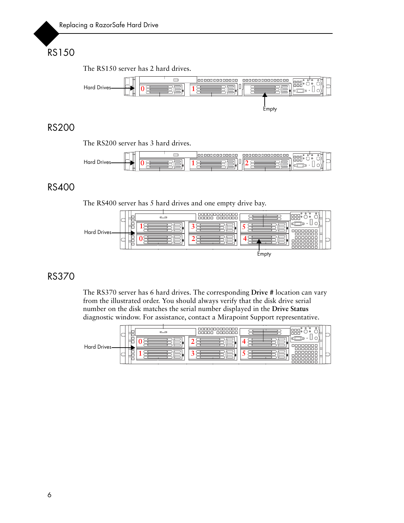## RS150

The RS150 server has 2 hard drives.



#### RS200

The RS200 server has 3 hard drives.



#### RS400

The RS400 server has 5 hard drives and one empty drive bay.



#### RS370

The RS370 server has 6 hard drives. The corresponding **Drive #** location can vary from the illustrated order. You should always verify that the disk drive serial number on the disk matches the serial number displayed in the **Drive Status** diagnostic window. For assistance, contact a Mirapoint Support representative.

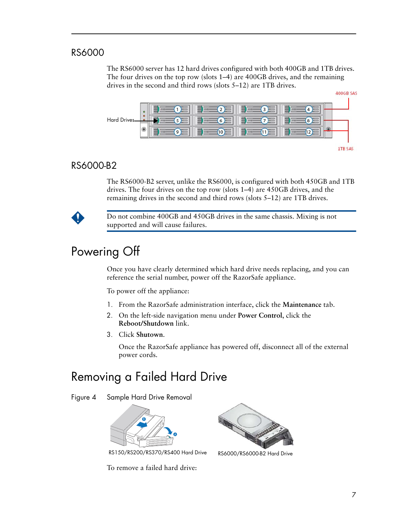#### RS6000

The RS6000 server has 12 hard drives configured with both 400GB and 1TB drives. The four drives on the top row (slots 1–4) are 400GB drives, and the remaining drives in the second and third rows (slots 5–12) are 1TB drives.



#### RS6000-B2

The RS6000-B2 server, unlike the RS6000, is configured with both 450GB and 1TB drives. The four drives on the top row (slots 1–4) are 450GB drives, and the remaining drives in the second and third rows (slots 5–12) are 1TB drives.



Do not combine 400GB and 450GB drives in the same chassis. Mixing is not supported and will cause failures.

## <span id="page-6-0"></span>Powering Off

Once you have clearly determined which hard drive needs replacing, and you can reference the serial number, power off the RazorSafe appliance.

To power off the appliance:

- 1. From the RazorSafe administration interface, click the **Maintenance** tab.
- 2. On the left-side navigation menu under **Power Control**, click the **Reboot/Shutdown** link.
- 3. Click **Shutown**.

Once the RazorSafe appliance has powered off, disconnect all of the external power cords.

## <span id="page-6-1"></span>Removing a Failed Hard Drive

Figure 4 Sample Hard Drive Removal



RS150/RS200/RS370/RS400 Hard Drive RS6000/RS6000-B2 Hard Drive

To remove a failed hard drive:

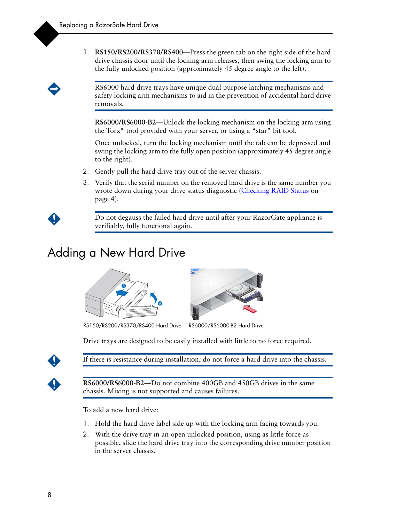1. **RS150/RS200/RS370/RS400—**Press the green tab on the right side of the hard drive chassis door until the locking arm releases, then swing the locking arm to the fully unlocked position (approximately 45 degree angle to the left).

RS6000 hard drive trays have unique dual purpose latching mechanisms and safety locking arm mechanisms to aid in the prevention of accidental hard drive removals.

**RS6000/RS6000-B2—**Unlock the locking mechanism on the locking arm using the Torx\* tool provided with your server, or using a "star" bit tool.

Once unlocked, turn the locking mechanism until the tab can be depressed and swing the locking arm to the fully open position (approximately 45 degree angle to the right).

- 2. Gently pull the hard drive tray out of the server chassis.
- 3. Verify that the serial number on the removed hard drive is the same number you wrote down during your drive status diagnostic (Checking RAID Status on [page](#page-3-0) 4).

Do not degauss the failed hard drive until after your RazorGate appliance is verifiably, fully functional again.

## <span id="page-7-0"></span>Adding a New Hard Drive





RS150/RS200/RS370/RS400 Hard Drive RS6000/RS6000-B2 Hard Drive

Drive trays are designed to be easily installed with little to no force required.



If there is resistance during installation, do not force a hard drive into the chassis.



RS6000/RS6000-B2—Do not combine 400GB and 450GB drives in the same chassis. Mixing is not supported and causes failures.

To add a new hard drive:

- 1. Hold the hard drive label side up with the locking arm facing towards you.
- 2. With the drive tray in an open unlocked position, using as little force as possible, slide the hard drive tray into the corresponding drive number position in the server chassis.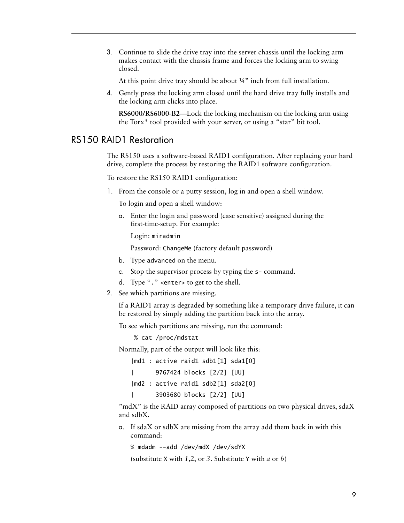3. Continue to slide the drive tray into the server chassis until the locking arm makes contact with the chassis frame and forces the locking arm to swing closed.

At this point drive tray should be about ¼" inch from full installation.

4. Gently press the locking arm closed until the hard drive tray fully installs and the locking arm clicks into place.

**RS6000/RS6000-B2—**Lock the locking mechanism on the locking arm using the Torx\* tool provided with your server, or using a "star" bit tool.

#### RS150 RAID1 Restoration

The RS150 uses a software-based RAID1 configuration. After replacing your hard drive, complete the process by restoring the RAID1 software configuration.

To restore the RS150 RAID1 configuration:

1. From the console or a putty session, log in and open a shell window.

To login and open a shell window:

a. Enter the login and password (case sensitive) assigned during the first-time-setup. For example:

Login: miradmin

Password: ChangeMe (factory default password)

- b. Type advanced on the menu.
- c. Stop the supervisor process by typing the s- command.
- d. Type "*.*" <enter> to get to the shell.
- 2. See which partitions are missing.

If a RAID1 array is degraded by something like a temporary drive failure, it can be restored by simply adding the partition back into the array.

To see which partitions are missing, run the command:

% cat /proc/mdstat

Normally, part of the output will look like this:

|md1 : active raid1 sdb1[1] sda1[0] | 9767424 blocks [2/2] [UU] |md2 : active raid1 sdb2[1] sda2[0] | 3903680 blocks [2/2] [UU]

"mdX" is the RAID array composed of partitions on two physical drives, sdaX and sdbX.

a. If sdaX or sdbX are missing from the array add them back in with this command:

```
% mdadm --add /dev/mdX /dev/sdYX
```
(substitute X with *1*,*2*, or *3*. Substitute Y with *a* or *b*)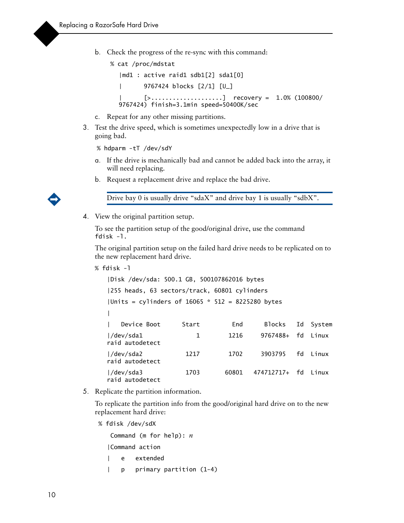b. Check the progress of the re-sync with this command:

```
 % cat /proc/mdstat
  |md1 : active raid1 sdb1[2] sda1[0]
  | 9767424 blocks [2/1] [U_]
         [>.......................] recovery = 1.0% (100800/
  9767424) finish=3.1min speed=50400K/sec
```
- c. Repeat for any other missing partitions.
- 3. Test the drive speed, which is sometimes unexpectedly low in a drive that is going bad.

```
% hdparm -tT /dev/sdY
```
- a. If the drive is mechanically bad and cannot be added back into the array, it will need replacing.
- b. Request a replacement drive and replace the bad drive.



- Drive bay 0 is usually drive "sdaX" and drive bay 1 is usually "sdbX".
- 4. View the original partition setup.

To see the partition setup of the good/original drive, use the command fdisk -l.

The original partition setup on the failed hard drive needs to be replicated on to the new replacement hard drive.

```
% fdisk -l
```

```
|Disk /dev/sda: 500.1 GB, 500107862016 bytes
|255 heads, 63 sectors/track, 60801 cylinders
|Units = cylinders of 16065 * 512 = 8225280 bytes
|
   Device Boot 5tart End Blocks Id System
|/dev/sda1 1 1216 9767488+ fd Linux 
raid autodetect
|/dev/sda2 1217 1702 3903795 fd Linux 
raid autodetect
|/dev/sda3 1703 60801 474712717+ fd Linux 
raid autodetect
```
5. Replicate the partition information.

To replicate the partition info from the good/original hard drive on to the new replacement hard drive:

% fdisk /dev/sdX

```
 Command (m for help): n
|Command action
   e extended
| p primary partition (1-4)
```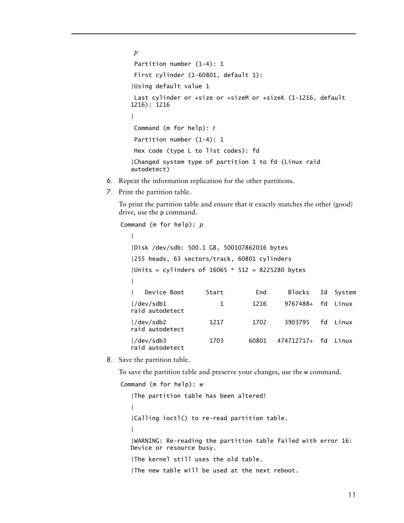```
p
Partition number (1-4): 1
 First cylinder (1-60801, default 1):
|Using default value 1
 Last cylinder or +size or +sizeM or +sizeK (1-1216, default 
1216): 1216
|
 Command (m for help): t
 Partition number (1-4): 1
 Hex code (type L to list codes): fd
|Changed system type of partition 1 to fd (Linux raid 
autodetect)
```
- 6. Repeat the information replication for the other partitions.
- 7. Print the partition table.

To print the partition table and ensure that it exactly matches the other (good) drive, use the p command.

```
Command (m for help): p
  |
  |Disk /dev/sdb: 500.1 GB, 500107862016 bytes
  |255 heads, 63 sectors/track, 60801 cylinders
  |Units = cylinders of 16065 * 512 = 8225280 bytes
  |
     Device Boot Start End Blocks Id System
  |/dev/sdb1 1 1216 9767488+ fd Linux 
  raid autodetect
  |/dev/sdb2 1217 1702 3903795 fd Linux 
  raid autodetect
  |/dev/sdb3 1703 60801 474712717+ fd Linux 
  raid autodetect
```
8. Save the partition table.

To save the partition table and preserve your changes, use the w command.

```
Command (m for help): w
```

```
|The partition table has been altered!
|
|Calling ioctl() to re-read partition table.
|
|WARNING: Re-reading the partition table failed with error 16: 
Device or resource busy.
|The kernel still uses the old table.
|The new table will be used at the next reboot.
```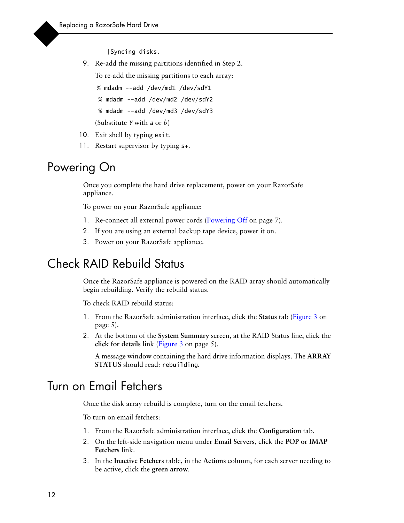|Syncing disks.

9. Re-add the missing partitions identified in Step 2.

To re-add the missing partitions to each array:

```
% mdadm --add /dev/md1 /dev/sdY1
```

```
 % mdadm --add /dev/md2 /dev/sdY2
```

```
 % mdadm --add /dev/md3 /dev/sdY3
```
(Substitute *Y* with *a* or *b*)

- 10. Exit shell by typing exit.
- 11. Restart supervisor by typing s+.

## <span id="page-11-0"></span>Powering On

Once you complete the hard drive replacement, power on your RazorSafe appliance.

To power on your RazorSafe appliance:

- 1. Re-connect all external power cords ([Powering Off on page](#page-6-0) 7).
- 2. If you are using an external backup tape device, power it on.
- 3. Power on your RazorSafe appliance.

## <span id="page-11-1"></span>Check RAID Rebuild Status

Once the RazorSafe appliance is powered on the RAID array should automatically begin rebuilding. Verify the rebuild status.

To check RAID rebuild status:

- 1. From the RazorSafe administration interface, click the **Status** tab ([Figure](#page-4-2) 3 on [page](#page-4-2) 5).
- 2. At the bottom of the **System Summary** screen, at the RAID Status line, click the **click for details** link (Figure [3 on page](#page-4-2) 5).

A message window containing the hard drive information displays. The **ARRAY STATUS** should read: rebuilding.

### <span id="page-11-2"></span>Turn on Email Fetchers

Once the disk array rebuild is complete, turn on the email fetchers.

To turn on email fetchers:

- 1. From the RazorSafe administration interface, click the **Configuration** tab.
- 2. On the left-side navigation menu under **Email Servers**, click the **POP or IMAP Fetchers** link.
- 3. In the **Inactive Fetchers** table, in the **Actions** column, for each server needing to be active, click the **green arrow**.